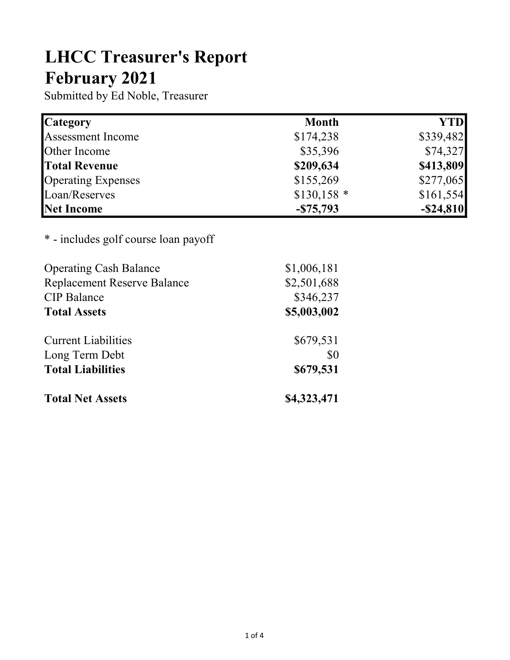## LHCC Treasurer's Report February 2021

Submitted by Ed Noble, Treasurer

| <b>Category</b>           | <b>Month</b> | <b>YTD</b>   |
|---------------------------|--------------|--------------|
| <b>Assessment Income</b>  | \$174,238    | \$339,482    |
| Other Income              | \$35,396     | \$74,327     |
| <b>Total Revenue</b>      | \$209,634    | \$413,809    |
| <b>Operating Expenses</b> | \$155,269    | \$277,065    |
| Loan/Reserves             | $$130,158$ * | \$161,554    |
| Net Income                | $-$75,793$   | $-$ \$24,810 |

\* - includes golf course loan payoff

| <b>Operating Cash Balance</b>      | \$1,006,181 |  |  |  |
|------------------------------------|-------------|--|--|--|
| <b>Replacement Reserve Balance</b> | \$2,501,688 |  |  |  |
| <b>CIP</b> Balance                 | \$346,237   |  |  |  |
| <b>Total Assets</b>                | \$5,003,002 |  |  |  |
| <b>Current Liabilities</b>         | \$679,531   |  |  |  |
| Long Term Debt                     | \$0         |  |  |  |
| <b>Total Liabilities</b>           | \$679,531   |  |  |  |
| <b>Total Net Assets</b>            | \$4,323,471 |  |  |  |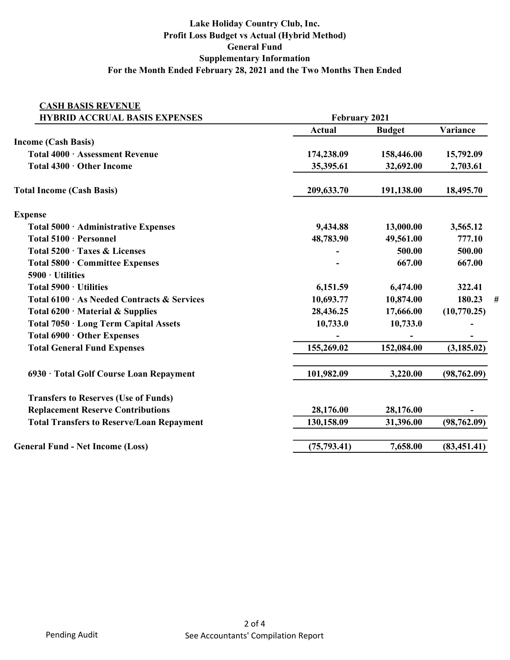## Lake Holiday Country Club, Inc. Profit Loss Budget vs Actual (Hybrid Method) General Fund Supplementary Information For the Month Ended February 28, 2021 and the Two Months Then Ended

| <b>CASH BASIS REVENUE</b>                        |                      |               |              |
|--------------------------------------------------|----------------------|---------------|--------------|
| <b>HYBRID ACCRUAL BASIS EXPENSES</b>             | <b>February 2021</b> |               |              |
|                                                  | <b>Actual</b>        | <b>Budget</b> | Variance     |
| <b>Income (Cash Basis)</b>                       |                      |               |              |
| Total 4000 · Assessment Revenue                  | 174,238.09           | 158,446.00    | 15,792.09    |
| Total 4300 · Other Income                        | 35,395.61            | 32,692.00     | 2,703.61     |
| <b>Total Income (Cash Basis)</b>                 | 209,633.70           | 191,138.00    | 18,495.70    |
| <b>Expense</b>                                   |                      |               |              |
| Total 5000 · Administrative Expenses             | 9,434.88             | 13,000.00     | 3,565.12     |
| Total 5100 · Personnel                           | 48,783.90            | 49,561.00     | 777.10       |
| Total 5200 · Taxes & Licenses                    |                      | 500.00        | 500.00       |
| Total 5800 · Committee Expenses                  |                      | 667.00        | 667.00       |
| $5900 \cdot$ Utilities                           |                      |               |              |
| Total 5900 · Utilities                           | 6,151.59             | 6,474.00      | 322.41       |
| Total 6100 · As Needed Contracts & Services      | 10,693.77            | 10,874.00     | 180.23<br>#  |
| Total $6200 \cdot$ Material & Supplies           | 28,436.25            | 17,666.00     | (10,770.25)  |
| Total 7050 · Long Term Capital Assets            | 10,733.0             | 10,733.0      |              |
| Total 6900 · Other Expenses                      |                      |               |              |
| <b>Total General Fund Expenses</b>               | 155,269.02           | 152,084.00    | (3, 185.02)  |
| 6930 · Total Golf Course Loan Repayment          | 101,982.09           | 3,220.00      | (98, 762.09) |
| <b>Transfers to Reserves (Use of Funds)</b>      |                      |               |              |
| <b>Replacement Reserve Contributions</b>         | 28,176.00            | 28,176.00     |              |
| <b>Total Transfers to Reserve/Loan Repayment</b> | 130,158.09           | 31,396.00     | (98, 762.09) |
| <b>General Fund - Net Income (Loss)</b>          | (75, 793.41)         | 7,658.00      | (83, 451.41) |
|                                                  |                      |               |              |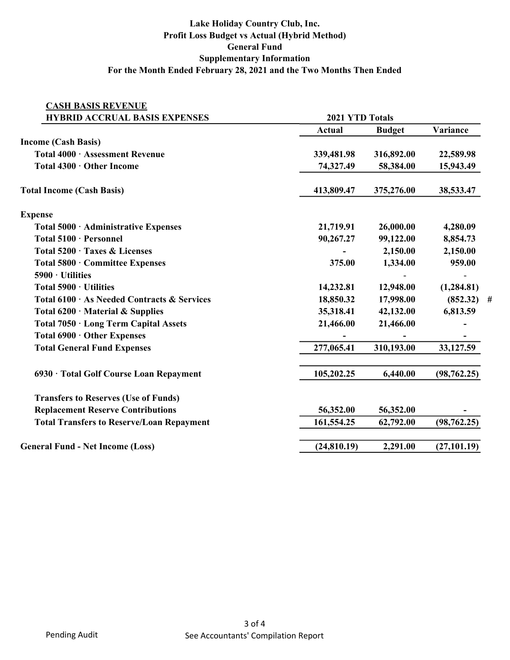## Lake Holiday Country Club, Inc. Profit Loss Budget vs Actual (Hybrid Method) General Fund Supplementary Information For the Month Ended February 28, 2021 and the Two Months Then Ended

| <b>CASH BASIS REVENUE</b>                        |               |                 |              |
|--------------------------------------------------|---------------|-----------------|--------------|
| <b>HYBRID ACCRUAL BASIS EXPENSES</b>             |               | 2021 YTD Totals |              |
|                                                  | <b>Actual</b> | <b>Budget</b>   | Variance     |
| <b>Income (Cash Basis)</b>                       |               |                 |              |
| Total 4000 · Assessment Revenue                  | 339,481.98    | 316,892.00      | 22,589.98    |
| Total 4300 · Other Income                        | 74,327.49     | 58,384.00       | 15,943.49    |
| <b>Total Income (Cash Basis)</b>                 | 413,809.47    | 375,276.00      | 38,533.47    |
| <b>Expense</b>                                   |               |                 |              |
| Total 5000 · Administrative Expenses             | 21,719.91     | 26,000.00       | 4,280.09     |
| Total 5100 · Personnel                           | 90,267.27     | 99,122.00       | 8,854.73     |
| Total 5200 · Taxes & Licenses                    |               | 2,150.00        | 2,150.00     |
| Total 5800 · Committee Expenses                  | 375.00        | 1,334.00        | 959.00       |
| $5900 \cdot$ Utilities                           |               |                 |              |
| Total $5900 \cdot$ Utilities                     | 14,232.81     | 12,948.00       | (1,284.81)   |
| Total 6100 · As Needed Contracts & Services      | 18,850.32     | 17,998.00       | $(852.32)$ # |
| Total $6200 \cdot$ Material & Supplies           | 35,318.41     | 42,132.00       | 6,813.59     |
| Total 7050 · Long Term Capital Assets            | 21,466.00     | 21,466.00       |              |
| Total 6900 · Other Expenses                      |               |                 |              |
| <b>Total General Fund Expenses</b>               | 277,065.41    | 310,193.00      | 33,127.59    |
| 6930 · Total Golf Course Loan Repayment          | 105,202.25    | 6,440.00        | (98, 762.25) |
| <b>Transfers to Reserves (Use of Funds)</b>      |               |                 |              |
| <b>Replacement Reserve Contributions</b>         | 56,352.00     | 56,352.00       |              |
| <b>Total Transfers to Reserve/Loan Repayment</b> | 161,554.25    | 62,792.00       | (98, 762.25) |
| <b>General Fund - Net Income (Loss)</b>          | (24,810.19)   | 2,291.00        | (27, 101.19) |
|                                                  |               |                 |              |